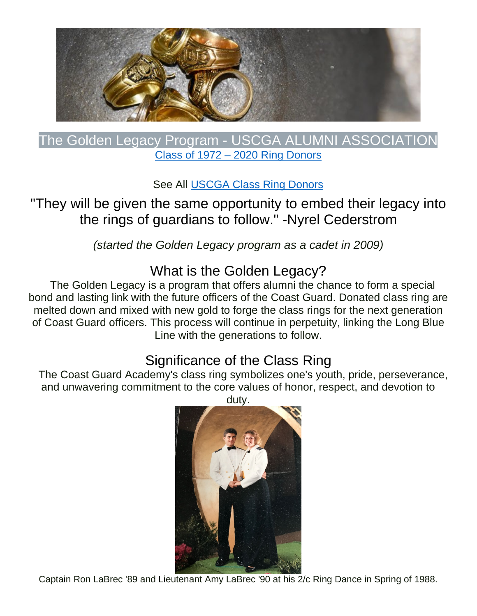

### The Golden Legacy Program - USCGA ALUMNI ASSOCIATION Class of 1972 – 2020 Ring Donors

See All [USCGA Class Ring Donors](https://spark.adobe.com/page/GvvRK4gg25ZdN/#our-ring-donors)

## "They will be given the same opportunity to embed their legacy into the rings of guardians to follow." -Nyrel Cederstrom

*(started the Golden Legacy program as a cadet in 2009)*

What is the Golden Legacy?<br>The Golden Legacy is a program that offers alumni the chance to form a special bond and lasting link with the future officers of the Coast Guard. Donated class ring are melted down and mixed with new gold to forge the class rings for the next generation of Coast Guard officers. This process will continue in perpetuity, linking the Long Blue Line with the generations to follow.

Significance of the Class Ring<br>The Coast Guard Academy's class ring symbolizes one's youth, pride, perseverance, and unwavering commitment to the core values of honor, respect, and devotion to

[duty.](https://spark.adobe.com/page/GvvRK4gg25ZdN/images/48a9cd9f-6a75-4477-91c2-b41205ad7631.jpg?asset_id=49d035c7-a941-43c0-98b0-6b2f6f75719f&img_etag=6abf567db4775b9b1933044494252cc3&size=1024)

Captain Ron LaBrec '89 and Lieutenant Amy LaBrec '90 at his 2/c Ring Dance in Spring of 1988.